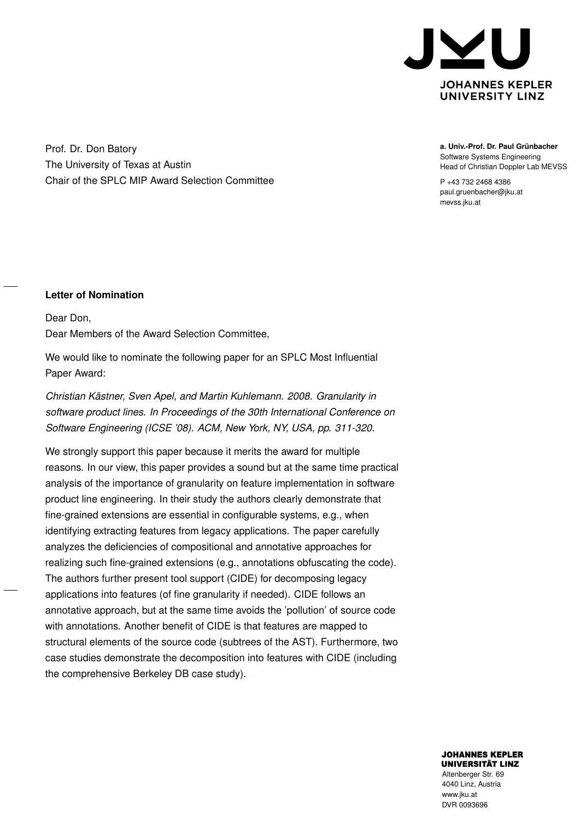

Prof. Dr. Don Batory The University of Texas at Austin Chair of the SPLC MIP Award Selection Committee **a. Univ.-Prof. Dr. Paul Grünbacher** Software Systems Engineering Head of Christian Doppler Lab MEVSS

P +43 732 2468 4386 paul.gruenbacher@jku.at mevss.jku.at

## **Letter of Nomination**

Dear Don, Dear Members of the Award Selection Committee,

We would like to nominate the following paper for an SPLC Most Influential Paper Award:

*Christian Kästner, Sven Apel, and Martin Kuhlemann. 2008. Granularity in software product lines. In Proceedings of the 30th International Conference on Software Engineering (ICSE '08). ACM, New York, NY, USA, pp. 311-320.*

We strongly support this paper because it merits the award for multiple reasons. In our view, this paper provides a sound but at the same time practical analysis of the importance of granularity on feature implementation in software product line engineering. In their study the authors clearly demonstrate that fine-grained extensions are essential in configurable systems, e.g., when identifying extracting features from legacy applications. The paper carefully analyzes the deficiencies of compositional and annotative approaches for realizing such fine-grained extensions (e.g., annotations obfuscating the code). The authors further present tool support (CIDE) for decomposing legacy applications into features (of fine granularity if needed). CIDE follows an annotative approach, but at the same time avoids the 'pollution' of source code with annotations. Another benefit of CIDE is that features are mapped to structural elements of the source code (subtrees of the AST). Furthermore, two case studies demonstrate the decomposition into features with CIDE (including the comprehensive Berkeley DB case study).

> **JOHANNES KEPLER UNIVERSITÄT LINZ**

Altenberger Str. 69 4040 Linz, Austria www.jku.at DVR 0093696